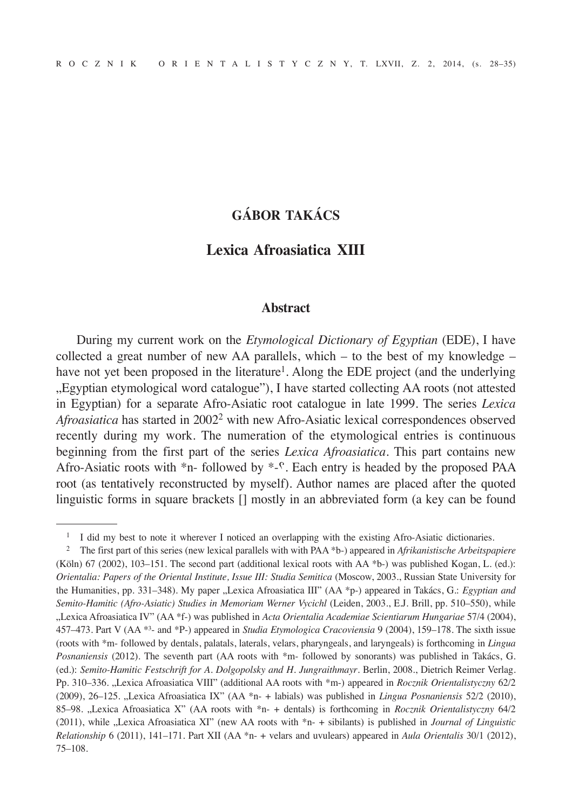# **GÁBOR TAKÁCS**

## **Lexica Afroasiatica XIII**

#### **Abstract**

During my current work on the *Etymological Dictionary of Egyptian* (EDE), I have collected a great number of new AA parallels, which – to the best of my knowledge – have not yet been proposed in the literature<sup>1</sup>. Along the EDE project (and the underlying "Egyptian etymological word catalogue"), I have started collecting AA roots (not attested in Egyptian) for a separate Afro-Asiatic root catalogue in late 1999. The series *Lexica Afroasiatica* has started in 20022 with new Afro-Asiatic lexical correspondences observed recently during my work. The numeration of the etymological entries is continuous beginning from the first part of the series *Lexica Afroasiatica*. This part contains new Afro-Asiatic roots with  $*_{n}$ -followed by  $*_{-}$ . Each entry is headed by the proposed PAA root (as tentatively reconstructed by myself). Author names are placed after the quoted linguistic forms in square brackets [] mostly in an abbreviated form (a key can be found

<sup>&</sup>lt;sup>1</sup> I did my best to note it wherever I noticed an overlapping with the existing Afro-Asiatic dictionaries.

<sup>2</sup> The first part of this series (new lexical parallels with with PAA \*b-) appeared in *Afrikanistische Arbeitspapiere* (Köln) 67 (2002), 103–151. The second part (additional lexical roots with AA \*b-) was published Kogan, L. (ed.): *Orientalia: Papers of the Oriental Institute, Issue III: Studia Semitica* (Moscow, 2003., Russian State University for the Humanities, pp. 331–348). My paper "Lexica Afroasiatica III" (AA \*p-) appeared in Takács, G.: *Egyptian and Semito-Hamitic (Afro-Asiatic) Studies in Memoriam Werner Vycichl* (Leiden, 2003., E.J. Brill, pp. 510–550), while "Lexica Afroasiatica IV" (AA \*f-) was published in *Acta Orientalia Academiae Scientiarum Hungariae* 57/4 (2004), 457–473. Part V (AA \*³- and \*P-) appeared in *Studia Etymologica Cracoviensia* 9 (2004), 159–178. The sixth issue (roots with \*m- followed by dentals, palatals, laterals, velars, pharyngeals, and laryngeals) is forthcoming in *Lingua Posnaniensis* (2012). The seventh part (AA roots with \*m- followed by sonorants) was published in Takács, G. (ed.): *Semito-Hamitic Festschrift for A. Dolgopolsky and H. Jungraithmayr*. Berlin, 2008., Dietrich Reimer Verlag. Pp. 310–336. "Lexica Afroasiatica VIII" (additional AA roots with \*m-) appeared in *Rocznik Orientalistyczny* 62/2 (2009), 26–125. "Lexica Afroasiatica IX" (AA \*n- + labials) was published in *Lingua Posnaniensis* 52/2 (2010), 85–98. "Lexica Afroasiatica X" (AA roots with \*n- + dentals) is forthcoming in *Rocznik Orientalistyczny* 64/2 (2011), while "Lexica Afroasiatica XI" (new AA roots with \*n- + sibilants) is published in *Journal of Linguistic Relationship* 6 (2011), 141–171. Part XII (AA \*n- + velars and uvulears) appeared in *Aula Orientalis* 30/1 (2012), 75–108.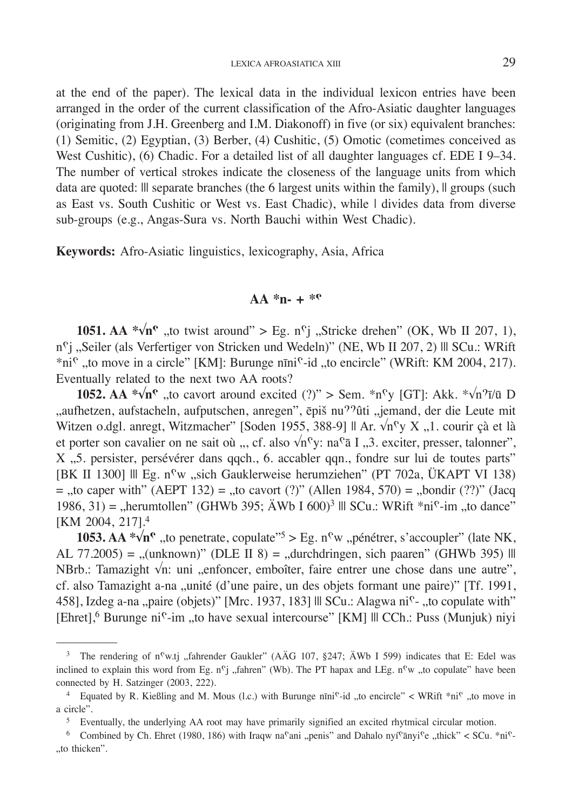at the end of the paper). The lexical data in the individual lexicon entries have been arranged in the order of the current classification of the Afro-Asiatic daughter languages (originating from J.H. Greenberg and I.M. Diakonoff) in five (or six) equivalent branches: (1) Semitic, (2) Egyptian, (3) Berber, (4) Cushitic, (5) Omotic (cometimes conceived as West Cushitic), (6) Chadic. For a detailed list of all daughter languages cf. EDE I 9–34. The number of vertical strokes indicate the closeness of the language units from which data are quoted: Ill separate branches (the 6 largest units within the family), Il groups (such as East vs. South Cushitic or West vs. East Chadic), while | divides data from diverse sub-groups (e.g., Angas-Sura vs. North Bauchi within West Chadic).

**Keywords:** Afro-Asiatic linguistics, lexicography, Asia, Africa

### $AA *n - + *P$

**1051.** AA  $*\sqrt{n}$ <sup>*n*</sup>, to twist around" > Eg. n<sup>c</sup>j , Stricke drehen" (OK, Wb II 207, 1), n<sup>c</sup>j "Seiler (als Verfertiger von Stricken und Wedeln)" (NE, Wb II 207, 2) III SCu.: WRift \*ni<sup>c</sup> "to move in a circle" [KM]: Burunge nīni<sup>c</sup>-id "to encircle" (WRift: KM 2004, 217). Eventually related to the next two AA roots?

**1052. AA**  $\sqrt[n]{n^{\circ}}$ **, to cavort around excited (?)" > Sem.**  $\sqrt[n]{n^{\circ}}$  **[GT]: Akk.**  $\sqrt[n]{n^{\circ}}$  **[D]** ", aufhetzen, aufstacheln, aufputschen, anregen", ēpiš nu<sup>99</sup>ûti "jemand, der die Leute mit Witzen o.dgl. anregt, Witzmacher" [Soden 1955, 388-9] || Ar.  $\sqrt{n}$ <sup>c</sup>y X .,1. courir çà et là et porter son cavalier on ne sait où ", cf. also  $\sqrt{n}$ <sup>c</sup>y: na<sup>c</sup> a I "3. exciter, presser, talonner", X ., 5. persister, persévérer dans qqch., 6. accabler qqn., fondre sur lui de toutes parts" [BK II 1300] Ill Eg. n<sup>c</sup>w "sich Gauklerweise herumziehen" (PT 702a, ÜKAPT VI 138)  $=$  "to caper with" (AEPT 132) = "to cavort (?)" (Allen 1984, 570) = "bondir (??)" (Jacq 1986, 31) = "herumtollen" (GHWb 395; ÄWb I 600)<sup>3</sup> ||| SCu.: WRift \*ni<sup>c</sup>-im "to dance" [KM 2004, 217].4

**1053. AA \*** $\sqrt[n]{n^{\circ}}$  "to penetrate, copulate"<sup>5</sup> > Eg. n<sup>o</sup>w "pénétrer, s'accoupler" (late NK, AL 77.2005) = "(unknown)" (DLE II 8) = "durchdringen, sich paaren" (GHWb 395) || NBrb.: Tamazight  $\sqrt{n}$ : uni "enfoncer, emboîter, faire entrer une chose dans une autre", cf. also Tamazight a-na "unité (d'une paire, un des objets formant une paire)" [Tf. 1991, 458], Izdeg a-na "paire (objets)" [Mrc. 1937, 183] Ill SCu.: Alagwa ni<sup>c</sup>- "to copulate with" [Ehret],<sup>6</sup> Burunge ni<sup>ç</sup>-im "to have sexual intercourse" [KM] ||| CCh.: Puss (Munjuk) niyi

<sup>&</sup>lt;sup>3</sup> The rendering of n<sup>c</sup>w.tj "fahrender Gaukler" (AÄG 107, §247; ÄWb I 599) indicates that E: Edel was inclined to explain this word from Eg.  $n^c$ j "fahren" (Wb). The PT hapax and LEg.  $n^c$ w "to copulate" have been connected by H. Satzinger (2003, 222).

<sup>&</sup>lt;sup>4</sup> Equated by R. Kießling and M. Mous (l.c.) with Burunge  $n\pi n i^c$ -id "to encircle" < WRift  $*ni^c$  "to move in a circle".

<sup>&</sup>lt;sup>5</sup> Eventually, the underlying AA root may have primarily signified an excited rhytmical circular motion.

<sup>&</sup>lt;sup>6</sup> Combined by Ch. Ehret (1980, 186) with Iraqw na<sup>c</sup>ani "penis" and Dahalo nyí<sup>c</sup>ānyi<sup>c</sup>e "thick" < SCu. \*ni<sup>c</sup>-"to thicken".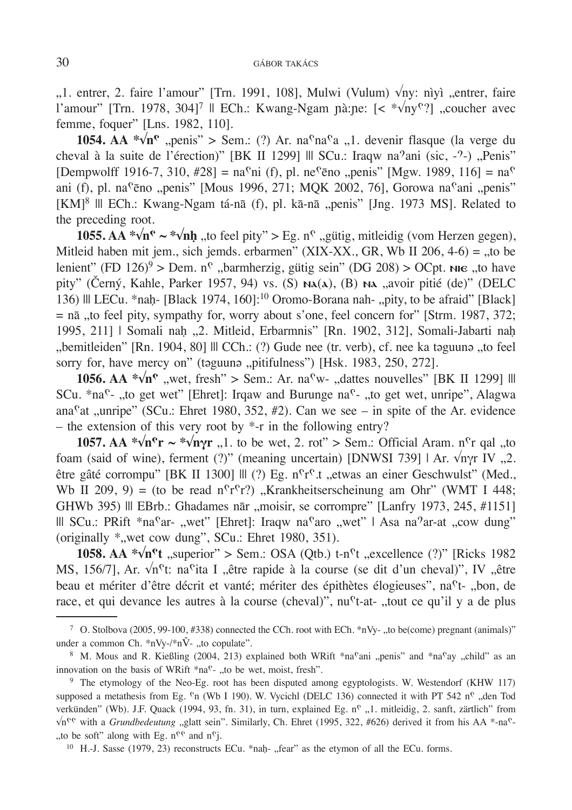"1. entrer, 2. faire l'amour" [Trn. 1991, 108], Mulwi (Vulum) √nv: nìvì "entrer. faire l'amour" [Trn. 1978, 304]<sup>7</sup> || ECh.: Kwang-Ngam nà:ne:  $\leq \sqrt[*]{ny^{\circ} }$ , coucher avec femme, foquer" [Lns. 1982, 110].

**1054.** AA  $\sqrt[n]{n^{\circ}}$ , penis" > Sem.: (?) Ar. na<sup>c</sup>na<sup>c</sup>a , 1. devenir flasque (la verge du cheval à la suite de l'érection)" [BK II 1299] ||| SCu.: Iraqw na<sup>9</sup>ani (sic, -<sup>9</sup>-) "Penis" [Dempwolff 1916-7, 310, #28] = na<sup>c</sup>ni (f), pl. ne<sup>c</sup>ēno "penis" [Mgw. 1989, 116] = na<sup>c</sup> ani (f), pl. na<sup>c</sup>ēno "penis" [Mous 1996, 271; MQK 2002, 76], Gorowa na<sup>c</sup>ani "penis"  $[KM]^8$  ||| ECh.: Kwang-Ngam tá-nā (f), pl. kā-nā "penis" [Jng. 1973 MS]. Related to the preceding root.

**1055.** AA  $*\sqrt{n}$ <sup> $\sim$ </sup>  $*\sqrt{n}$ *h*, to feel pity" > Eg. n<sup> $\circ$ </sup>, gütig, mitleidig (vom Herzen gegen), Mitleid haben mit jem., sich jemds. erbarmen" (XIX-XX., GR, Wb II 206, 4-6) = .,to be lenient" (FD 126)<sup>9</sup> > Dem. n<sup>c</sup>, barmherzig, gütig sein" (DG 208) > OCpt. Nie "to have pity" (Černý, Kahle, Parker 1957, 94) vs. (S) Na(a), (B) Na "avoir pitié (de)" (DELC 136) ||| LECu. \*naḥ- [Black 1974, 160]:<sup>10</sup> Oromo-Borana nah- "pity, to be afraid" [Black]  $=$  nā ,,to feel pity, sympathy for, worry about s'one, feel concern for" [Strm. 1987, 372; 1995, 211] | Somali naḥ "2. Mitleid, Erbarmnis" [Rn. 1902, 312], Somali-Jabarti naḥ "bemitleiden" [Rn. 1904, 80] ||| CCh.: (?) Gude nee (tr. verb), cf. nee ka təguunə "to feel sorry for, have mercy on" (taguuna "pitifulness") [Hsk. 1983, 250, 272].

**1056.** AA  $\sqrt[k]{n^{\circ}}$ , wet, fresh" > Sem.: Ar. na<sup> $\circ$ </sup>w-, dattes nouvelles" [BK II 1299] ||| SCu.  $*na^c$ - "to get wet" [Ehret]: Irqaw and Burunge na<sup> $c$ </sup>- "to get wet, unripe", Alagwa ana<sup>c</sup>at "unripe" (SCu.: Ehret 1980, 352, #2). Can we see – in spite of the Ar. evidence – the extension of this very root by  $*$ -r in the following entry?

**1057.** AA  $*\sqrt{n}$ °**r**  $\sim **\sqrt{n}$ °**r** ...1. to be wet, 2. rot" > Sem.: Official Aram. n<sup>°</sup>r qal ..to foam (said of wine), ferment (?)" (meaning uncertain) [DNWSI 739] | Ar.  $\sqrt{nyr}$  IV ...2. être gâté corrompu" [BK II 1300]  $\parallel \parallel$  (?) Eg. n<sup>c</sup>r<sup>c</sup>.t "etwas an einer Geschwulst" (Med., Wb II 209, 9) = (to be read  $n^c r^c r$ ?) "Krankheitserscheinung am Ohr" (WMT I 448; GHWb 395) || EBrb.: Ghadames nār "moisir, se corrompre" [Lanfry 1973, 245, #1151] ||| SCu.: PRift \*na<sup>c</sup>ar- "wet" [Ehret]: Iraqw na<sup>c</sup>aro "wet" | Asa na<sup>9</sup>ar-at "cow dung" (originally  $^*$ , wet cow dung", SCu.: Ehret 1980, 351).

**1058.** AA  $\sqrt[n]{n}$ <sup>t</sup> , superior" > Sem.: OSA (Qtb.) t-n<sup>c</sup>t , excellence (?)" [Ricks 1982] MS, 156/7], Ar.  $\sqrt{n}$ <sup>c</sup>t: na<sup>c</sup>ita I "être rapide à la course (se dit d'un cheval)", IV "être beau et mériter d'être décrit et vanté; mériter des épithètes élogieuses", na<sup>c</sup>t-,,bon, de race, et qui devance les autres à la course (cheval)",  $nu^{\text{t}}$ -at- "tout ce qu'il y a de plus

<sup>10</sup> H.-J. Sasse (1979, 23) reconstructs ECu. \*naḥ- "fear" as the etymon of all the ECu. forms.

<sup>&</sup>lt;sup>7</sup> O. Stolbova (2005, 99-100, #338) connected the CCh. root with ECh.  $*nVy-$ , to be(come) pregnant (animals)" under a common Ch.  $*nV - N_V$ -, to copulate".

<sup>&</sup>lt;sup>8</sup> M. Mous and R. Kießling (2004, 213) explained both WRift \*na<sup>c</sup>ani "penis" and \*na<sup>c</sup>ay "child" as an innovation on the basis of WRift  $*<sub>na</sub>$ <sup>c</sup>-, to be wet, moist, fresh".

<sup>9</sup> The etymology of the Neo-Eg. root has been disputed among egyptologists. W. Westendorf (KHW 117) supposed a metathesis from Eg. <sup>o</sup>n (Wb I 190). W. Vycichl (DELC 136) connected it with PT 542 n<sup>o</sup>, den Tod verkünden" (Wb). J.F. Quack (1994, 93, fn. 31), in turn, explained Eg. n<sup>c</sup>, 1. mitleidig, 2. sanft, zärtlich" from  $\sqrt{n}$ <sup>e</sup> with a *Grundbedeutung* "glatt sein". Similarly, Ch. Ehret (1995, 322, #626) derived it from his AA \*-na<sup>e</sup>-", to be soft" along with Eg.  $n^{\gamma}$  and  $n^{\gamma}$ .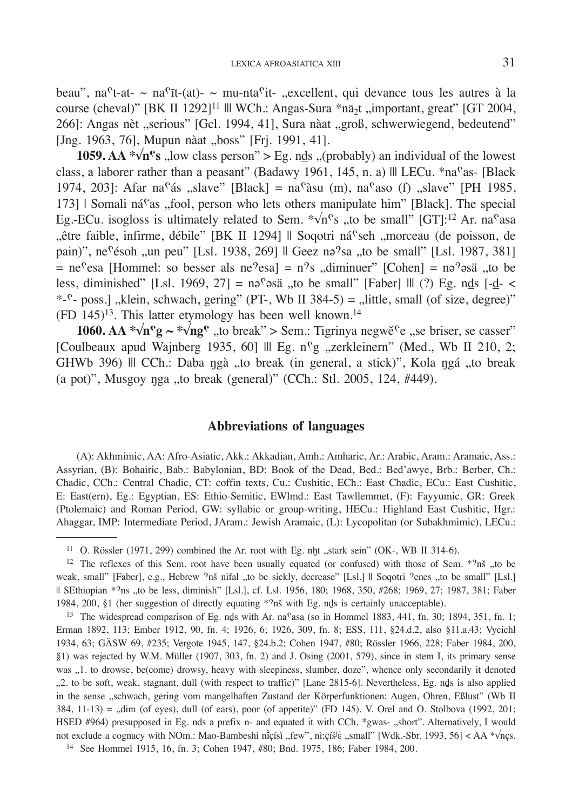beau", na<sup>c</sup>t-at- ~ na<sup>c</sup>īt-(at)- ~ mu-nta<sup>c</sup>it- ., excellent, qui devance tous les autres à la course (cheval)" [BK II 1292]<sup>11</sup> ||| WCh.: Angas-Sura \*n $\bar{a}_2$ t , important, great" [GT 2004, 266]: Angas nèt "serious" [Gcl. 1994, 41], Sura nàat "groß, schwerwiegend, bedeutend" [Jng. 1963, 76], Mupun nàat "boss" [Frj. 1991, 41].

**1059.** AA  $\sqrt[n]{n}$ **'s** , low class person" > Eg. nds , (probably) an individual of the lowest class, a laborer rather than a peasant" (Badawy 1961, 145, n. a) || LECu. \*na<sup>c</sup>as- [Black 1974, 203]: Afar na<sup>c</sup>ás "slave" [Black] = na<sup>c</sup>àsu (m), na<sup>c</sup>aso (f) "slave" [PH 1985,  $173$ ] | Somali ná<sup>c</sup>as "fool, person who lets others manipulate him" [Black]. The special Eg.-ECu. isogloss is ultimately related to Sem.  $\sqrt[n]{n}$  "to be small" [GT]:<sup>12</sup> Ar. na<sup>c</sup>asa "être faible, infirme, débile" [BK II 1294] || Soqotri ná<sup>c</sup>seh "morceau (de poisson, de pain)", ne<sup>c</sup>ésoh "un peu" [Lsl. 1938, 269] || Geez nə<sup>9</sup>sa "to be small" [Lsl. 1987, 381]  $=$  ne<sup>c</sup>esa [Hommel: so besser als ne<sup>9</sup>esa] = n<sup>9</sup>s "diminuer" [Cohen] = nə<sup>9</sup>əsä "to be less, diminished" [Lsl. 1969, 27] = nə<sup>c</sup>əsä "to be small" [Faber] ||| (?) Eg. nds [-d- <  $*$ - $^{\circ}$ - poss.], klein, schwach, gering" (PT-, Wb II 384-5) = , little, small (of size, degree)"  $(FD 145)^{13}$ . This latter etymology has been well known.<sup>14</sup>

**1060. AA**  $\sqrt[n]{n}$ **<sup>e</sup>g**  $\sim \sqrt[n]{n}$ <sup>e</sup>, to break" > Sem.: Tigrinya negwĕ<sup>c</sup>e , se briser, se casser" [Coulbeaux apud Wajnberg 1935, 60] Ill Eg. n<sup>o</sup>g "zerkleinern" (Med., Wb II 210, 2; GHWb 396) ||| CCh.: Daba ngà "to break (in general, a stick)", Kola ngá "to break (a pot)", Musgoy nga "to break (general)" (CCh.: Stl. 2005, 124, #449).

#### **Abbreviations of languages**

(A): Akhmimic, AA: Afro-Asiatic, Akk.: Akkadian, Amh.: Amharic, Ar.: Arabic, Aram.: Aramaic, Ass.: Assyrian, (B): Bohairic, Bab.: Babylonian, BD: Book of the Dead, Bed.: Bed'awye, Brb.: Berber, Ch.: Chadic, CCh.: Central Chadic, CT: coffin texts, Cu.: Cushitic, ECh.: East Chadic, ECu.: East Cushitic, E: East(ern), Eg.: Egyptian, ES: Ethio-Semitic, EWlmd.: East Tawllemmet, (F): Fayyumic, GR: Greek (Ptolemaic) and Roman Period, GW: syllabic or group-writing, HECu.: Highland East Cushitic, Hgr.: Ahaggar, IMP: Intermediate Period, JAram.: Jewish Aramaic, (L): Lycopolitan (or Subakhmimic), LECu.:

<sup>&</sup>lt;sup>11</sup> O. Rössler (1971, 299) combined the Ar. root with Eg. nḫt "stark sein" (OK-, WB II 314-6).

<sup>&</sup>lt;sup>12</sup> The reflexes of this Sem. root have been usually equated (or confused) with those of Sem.  $*9n\tilde{s}$ , to be weak, small" [Faber], e.g., Hebrew 'nš nifal "to be sickly, decrease" [Lsl.] || Soqotri 'enes "to be small" [Lsl.] || SEthiopian \*–ns "to be less, diminish" [Lsl.], cf. Lsl. 1956, 180; 1968, 350, #268; 1969, 27; 1987, 381; Faber 1984, 200, §1 (her suggestion of directly equating  $*9n\ddot{s}$  with Eg. nds is certainly unacceptable).

<sup>&</sup>lt;sup>13</sup> The widespread comparison of Eg. nds with Ar. na<sup>c</sup>asa (so in Hommel 1883, 441, fn. 30; 1894, 351, fn. 1; Erman 1892, 113; Ember 1912, 90, fn. 4; 1926, 6; 1926, 309, fn. 8; ESS, 111, §24.d.2, also §11.a.43; Vycichl 1934, 63; GÄSW 69, #235; Vergote 1945, 147, §24.b.2; Cohen 1947, #80; Rössler 1966, 228; Faber 1984, 200, §1) was rejected by W.M. Müller (1907, 303, fn. 2) and J. Osing (2001, 579), since in stem I, its primary sense was "1. to drowse, be(come) drowsy, heavy with sleepiness, slumber, doze", whence only secondarily it denoted "2. to be soft, weak, stagnant, dull (with respect to traffic)" [Lane 2815-6]. Nevertheless, Eg. nḏs is also applied in the sense "schwach, gering vom mangelhaften Zustand der Körperfunktionen: Augen, Ohren, Eßlust" (Wb II  $384$ ,  $11-13$ ) = "dim (of eyes), dull (of ears), poor (of appetite)" (FD 145). V. Orel and O. Stolbova (1992, 201; HSED #964) presupposed in Eg. nds a prefix n- and equated it with CCh. \*gwas- "short". Alternatively, I would not exclude a cognacy with NOm.: Mao-Bambeshi nīçísì "few", nì:c̞íšʲè "small" [Wdk.-Sbr. 1993, 56] < AA \*√nçs.

<sup>14</sup> See Hommel 1915, 16, fn. 3; Cohen 1947, #80; Bnd. 1975, 186; Faber 1984, 200.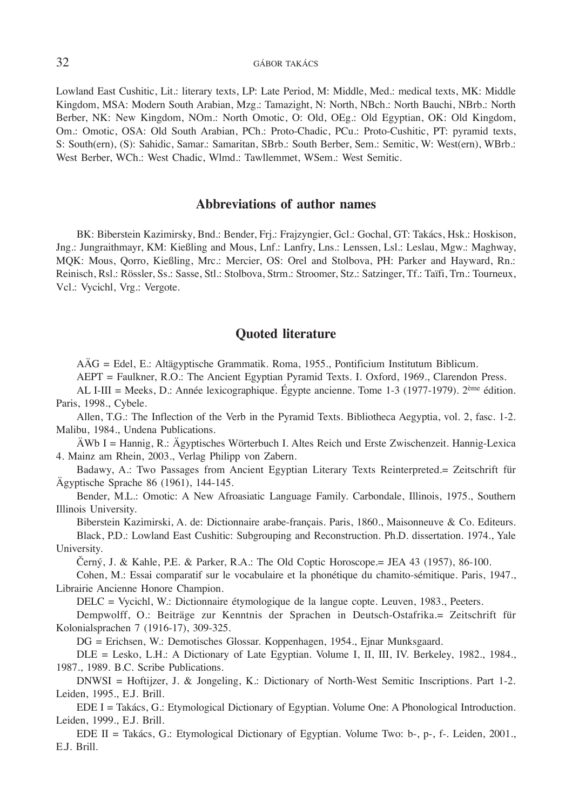#### 32 GÁBOR TAKÁCS

Lowland East Cushitic, Lit.: literary texts, LP: Late Period, M: Middle, Med.: medical texts, MK: Middle Kingdom, MSA: Modern South Arabian, Mzg.: Tamazight, N: North, NBch.: North Bauchi, NBrb.: North Berber, NK: New Kingdom, NOm.: North Omotic, O: Old, OEg.: Old Egyptian, OK: Old Kingdom, Om.: Omotic, OSA: Old South Arabian, PCh.: Proto-Chadic, PCu.: Proto-Cushitic, PT: pyramid texts, S: South(ern), (S): Sahidic, Samar.: Samaritan, SBrb.: South Berber, Sem.: Semitic, W: West(ern), WBrb.: West Berber, WCh.: West Chadic, Wlmd.: Tawllemmet, WSem.: West Semitic.

#### **Abbreviations of author names**

BK: Biberstein Kazimirsky, Bnd.: Bender, Frj.: Frajzyngier, Gcl.: Gochal, GT: Takács, Hsk.: Hoskison, Jng.: Jungraithmayr, KM: Kießling and Mous, Lnf.: Lanfry, Lns.: Lenssen, Lsl.: Leslau, Mgw.: Maghway, MQK: Mous, Qorro, Kießling, Mrc.: Mercier, OS: Orel and Stolbova, PH: Parker and Hayward, Rn.: Reinisch, Rsl.: Rössler, Ss.: Sasse, Stl.: Stolbova, Strm.: Stroomer, Stz.: Satzinger, Tf.: Taïfi, Trn.: Tourneux, Vcl.: Vycichl, Vrg.: Vergote.

#### **Quoted literature**

AÄG = Edel, E.: Altägyptische Grammatik. Roma, 1955., Pontificium Institutum Biblicum.

AEPT = Faulkner, R.O.: The Ancient Egyptian Pyramid Texts. I. Oxford, 1969., Clarendon Press.

AL I-III = Meeks, D.: Année lexicographique. Égypte ancienne. Tome 1-3 (1977-1979). 2ème édition. Paris, 1998., Cybele.

Allen, T.G.: The Inflection of the Verb in the Pyramid Texts. Bibliotheca Aegyptia, vol. 2, fasc. 1-2. Malibu, 1984., Undena Publications.

ÄWb I = Hannig, R.: Ägyptisches Wörterbuch I. Altes Reich und Erste Zwischenzeit. Hannig-Lexica 4. Mainz am Rhein, 2003., Verlag Philipp von Zabern.

Badawy, A.: Two Passages from Ancient Egyptian Literary Texts Reinterpreted.= Zeitschrift für Ägyptische Sprache 86 (1961), 144-145.

Bender, M.L.: Omotic: A New Afroasiatic Language Family. Carbondale, Illinois, 1975., Southern Illinois University.

Biberstein Kazimirski, A. de: Dictionnaire arabe-français. Paris, 1860., Maisonneuve & Co. Editeurs. Black, P.D.: Lowland East Cushitic: Subgrouping and Reconstruction. Ph.D. dissertation. 1974., Yale University.

Černý, J. & Kahle, P.E. & Parker, R.A.: The Old Coptic Horoscope.= JEA 43 (1957), 86-100.

Cohen, M.: Essai comparatif sur le vocabulaire et la phonétique du chamito-sémitique. Paris, 1947., Librairie Ancienne Honore Champion.

DELC = Vycichl, W.: Dictionnaire étymologique de la langue copte. Leuven, 1983., Peeters.

Dempwolff, O.: Beiträge zur Kenntnis der Sprachen in Deutsch-Ostafrika.= Zeitschrift für Kolonialsprachen 7 (1916-17), 309-325.

DG = Erichsen, W.: Demotisches Glossar. Koppenhagen, 1954., Ejnar Munksgaard.

DLE = Lesko, L.H.: A Dictionary of Late Egyptian. Volume I, II, III, IV. Berkeley, 1982., 1984., 1987., 1989. B.C. Scribe Publications.

DNWSI = Hoftijzer, J. & Jongeling, K.: Dictionary of North-West Semitic Inscriptions. Part 1-2. Leiden, 1995., E.J. Brill.

EDE I = Takács, G.: Etymological Dictionary of Egyptian. Volume One: A Phonological Introduction. Leiden, 1999., E.J. Brill.

EDE II = Takács, G.: Etymological Dictionary of Egyptian. Volume Two: b-, p-, f-. Leiden, 2001., E.J. Brill.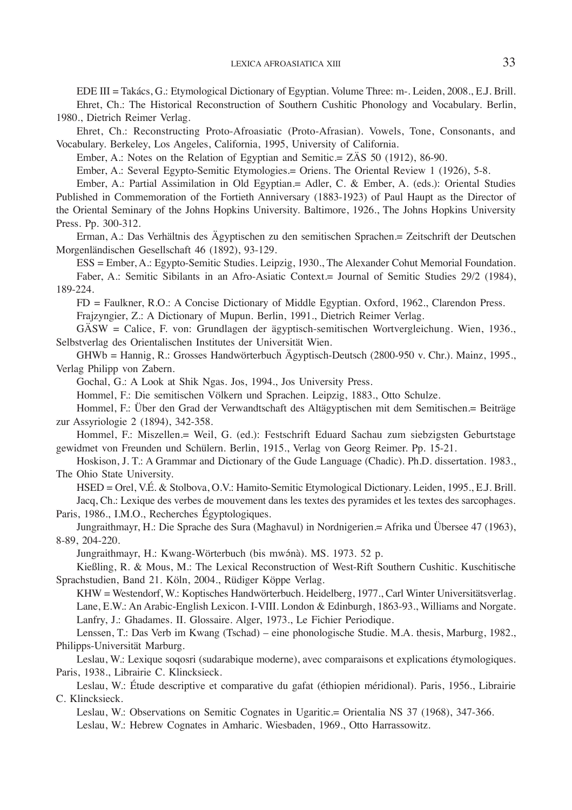EDE III = Takács, G.: Etymological Dictionary of Egyptian. Volume Three: m-. Leiden, 2008., E.J. Brill.

Ehret, Ch.: The Historical Reconstruction of Southern Cushitic Phonology and Vocabulary. Berlin, 1980., Dietrich Reimer Verlag.

Ehret, Ch.: Reconstructing Proto-Afroasiatic (Proto-Afrasian). Vowels, Tone, Consonants, and Vocabulary. Berkeley, Los Angeles, California, 1995, University of California.

Ember, A.: Notes on the Relation of Egyptian and Semitic.= ZÄS 50 (1912), 86-90.

Ember, A.: Several Egypto-Semitic Etymologies.= Oriens. The Oriental Review 1 (1926), 5-8.

Ember, A.: Partial Assimilation in Old Egyptian.= Adler, C. & Ember, A. (eds.): Oriental Studies Published in Commemoration of the Fortieth Anniversary (1883-1923) of Paul Haupt as the Director of the Oriental Seminary of the Johns Hopkins University. Baltimore, 1926., The Johns Hopkins University Press. Pp. 300-312.

Erman, A.: Das Verhältnis des Ägyptischen zu den semitischen Sprachen.= Zeitschrift der Deutschen Morgenländischen Gesellschaft 46 (1892), 93-129.

ESS = Ember, A.: Egypto-Semitic Studies. Leipzig, 1930., The Alexander Cohut Memorial Foundation. Faber, A.: Semitic Sibilants in an Afro-Asiatic Context.= Journal of Semitic Studies 29/2 (1984), 189-224.

FD = Faulkner, R.O.: A Concise Dictionary of Middle Egyptian. Oxford, 1962., Clarendon Press.

Frajzyngier, Z.: A Dictionary of Mupun. Berlin, 1991., Dietrich Reimer Verlag.

GÄSW = Calice, F. von: Grundlagen der ägyptisch-semitischen Wortvergleichung. Wien, 1936., Selbstverlag des Orientalischen Institutes der Universität Wien.

GHWb = Hannig, R.: Grosses Handwörterbuch Ägyptisch-Deutsch (2800-950 v. Chr.). Mainz, 1995., Verlag Philipp von Zabern.

Gochal, G.: A Look at Shik Ngas. Jos, 1994., Jos University Press.

Hommel, F.: Die semitischen Völkern und Sprachen. Leipzig, 1883., Otto Schulze.

Hommel, F.: Über den Grad der Verwandtschaft des Altägyptischen mit dem Semitischen.= Beiträge zur Assyriologie 2 (1894), 342-358.

Hommel, F.: Miszellen.= Weil, G. (ed.): Festschrift Eduard Sachau zum siebzigsten Geburtstage gewidmet von Freunden und Schülern. Berlin, 1915., Verlag von Georg Reimer. Pp. 15-21.

Hoskison, J. T.: A Grammar and Dictionary of the Gude Language (Chadic). Ph.D. dissertation. 1983., The Ohio State University.

HSED = Orel, V.É. & Stolbova, O.V.: Hamito-Semitic Etymological Dictionary. Leiden, 1995., E.J. Brill. Jacq, Ch.: Lexique des verbes de mouvement dans les textes des pyramides et les textes des sarcophages. Paris, 1986., I.M.O., Recherches Égyptologiques.

Jungraithmayr, H.: Die Sprache des Sura (Maghavul) in Nordnigerien.= Afrika und Übersee 47 (1963), 8-89, 204-220.

Jungraithmayr, H.: Kwang-Wörterbuch (bis mwánà). MS. 1973. 52 p.

Kießling, R. & Mous, M.: The Lexical Reconstruction of West-Rift Southern Cushitic. Kuschitische Sprachstudien, Band 21. Köln, 2004., Rüdiger Köppe Verlag.

KHW = Westendorf, W.: Koptisches Handwörterbuch. Heidelberg, 1977., Carl Winter Universitätsverlag. Lane, E.W.: An Arabic-English Lexicon. I-VIII. London & Edinburgh, 1863-93., Williams and Norgate. Lanfry, J.: Ghadames. II. Glossaire. Alger, 1973., Le Fichier Periodique.

Lenssen, T.: Das Verb im Kwang (Tschad) – eine phonologische Studie. M.A. thesis, Marburg, 1982., Philipps-Universität Marburg.

Leslau, W.: Lexique soqosri (sudarabique moderne), avec comparaisons et explications étymologiques. Paris, 1938., Librairie C. Klincksieck.

Leslau, W.: Étude descriptive et comparative du gafat (éthiopien méridional). Paris, 1956., Librairie C. Klincksieck.

Leslau, W.: Observations on Semitic Cognates in Ugaritic.= Orientalia NS 37 (1968), 347-366.

Leslau, W.: Hebrew Cognates in Amharic. Wiesbaden, 1969., Otto Harrassowitz.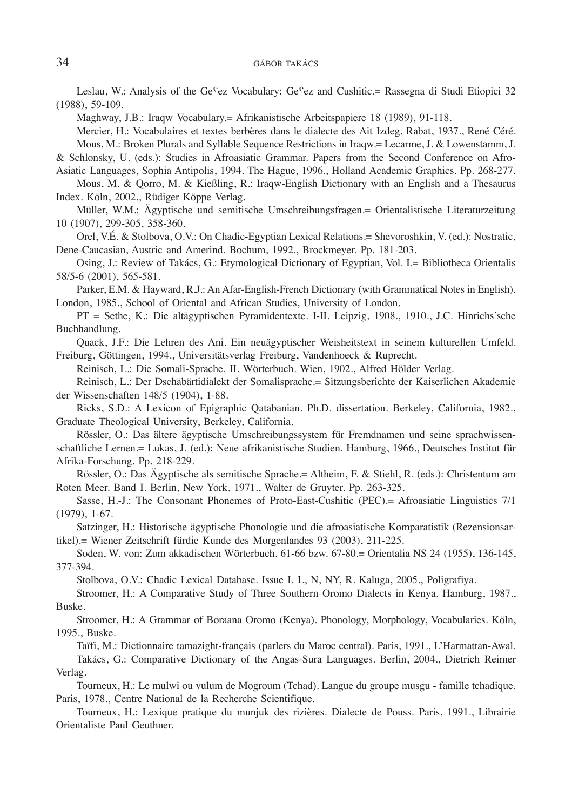Leslau, W.: Analysis of the Ge<sup>c</sup>ez Vocabulary: Ge<sup>c</sup>ez and Cushitic.= Rassegna di Studi Etiopici 32 (1988), 59-109.

Maghway, J.B.: Iraqw Vocabulary.= Afrikanistische Arbeitspapiere 18 (1989), 91-118.

Mercier, H.: Vocabulaires et textes berbères dans le dialecte des Ait Izdeg. Rabat, 1937., René Céré. Mous, M.: Broken Plurals and Syllable Sequence Restrictions in Iraqw.= Lecarme, J. & Lowenstamm, J.

& Schlonsky, U. (eds.): Studies in Afroasiatic Grammar. Papers from the Second Conference on Afro-Asiatic Languages, Sophia Antipolis, 1994. The Hague, 1996., Holland Academic Graphics. Pp. 268-277.

Mous, M. & Qorro, M. & Kießling, R.: Iraqw-English Dictionary with an English and a Thesaurus Index. Köln, 2002., Rüdiger Köppe Verlag.

Müller, W.M.: Ägyptische und semitische Umschreibungsfragen.= Orientalistische Literaturzeitung 10 (1907), 299-305, 358-360.

Orel, V.É. & Stolbova, O.V.: On Chadic-Egyptian Lexical Relations.= Shevoroshkin, V. (ed.): Nostratic, Dene-Caucasian, Austric and Amerind. Bochum, 1992., Brockmeyer. Pp. 181-203.

Osing, J.: Review of Takács, G.: Etymological Dictionary of Egyptian, Vol. I.= Bibliotheca Orientalis 58/5-6 (2001), 565-581.

Parker, E.M. & Hayward, R.J.: An Afar-English-French Dictionary (with Grammatical Notes in English). London, 1985., School of Oriental and African Studies, University of London.

PT = Sethe, K.: Die altägyptischen Pyramidentexte. I-II. Leipzig, 1908., 1910., J.C. Hinrichs'sche Buchhandlung.

Quack, J.F.: Die Lehren des Ani. Ein neuägyptischer Weisheitstext in seinem kulturellen Umfeld. Freiburg, Göttingen, 1994., Universitätsverlag Freiburg, Vandenhoeck & Ruprecht.

Reinisch, L.: Die Somali-Sprache. II. Wörterbuch. Wien, 1902., Alfred Hölder Verlag.

Reinisch, L.: Der Dschäbärtidialekt der Somalisprache.= Sitzungsberichte der Kaiserlichen Akademie der Wissenschaften 148/5 (1904), 1-88.

Ricks, S.D.: A Lexicon of Epigraphic Qatabanian. Ph.D. dissertation. Berkeley, California, 1982., Graduate Theological University, Berkeley, California.

Rössler, O.: Das ältere ägyptische Umschreibungssystem für Fremdnamen und seine sprachwissenschaftliche Lernen.= Lukas, J. (ed.): Neue afrikanistische Studien. Hamburg, 1966., Deutsches Institut für Afrika-Forschung. Pp. 218-229.

Rössler, O.: Das Ägyptische als semitische Sprache.= Altheim, F. & Stiehl, R. (eds.): Christentum am Roten Meer. Band I. Berlin, New York, 1971., Walter de Gruyter. Pp. 263-325.

Sasse, H.-J.: The Consonant Phonemes of Proto-East-Cushitic (PEC).= Afroasiatic Linguistics 7/1 (1979), 1-67.

Satzinger, H.: Historische ägyptische Phonologie und die afroasiatische Komparatistik (Rezensionsartikel).= Wiener Zeitschrift fürdie Kunde des Morgenlandes 93 (2003), 211-225.

Soden, W. von: Zum akkadischen Wörterbuch. 61-66 bzw. 67-80.= Orientalia NS 24 (1955), 136-145, 377-394.

Stolbova, O.V.: Chadic Lexical Database. Issue I. L, N, NY, R. Kaluga, 2005., Poligrafiya.

Stroomer, H.: A Comparative Study of Three Southern Oromo Dialects in Kenya. Hamburg, 1987., Buske.

Stroomer, H.: A Grammar of Boraana Oromo (Kenya). Phonology, Morphology, Vocabularies. Köln, 1995., Buske.

Taïfi, M.: Dictionnaire tamazight-français (parlers du Maroc central). Paris, 1991., L'Harmattan-Awal.

Takács, G.: Comparative Dictionary of the Angas-Sura Languages. Berlin, 2004., Dietrich Reimer Verlag.

Tourneux, H.: Le mulwi ou vulum de Mogroum (Tchad). Langue du groupe musgu - famille tchadique. Paris, 1978., Centre National de la Recherche Scientifique.

Tourneux, H.: Lexique pratique du munjuk des rizières. Dialecte de Pouss. Paris, 1991., Librairie Orientaliste Paul Geuthner.